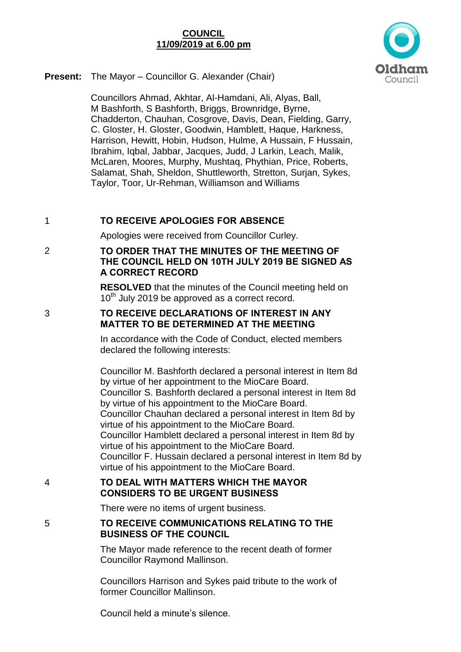# **COUNCIL 11/09/2019 at 6.00 pm**



**Present:** The Mayor – Councillor G. Alexander (Chair)

Councillors Ahmad, Akhtar, Al-Hamdani, Ali, Alyas, Ball, M Bashforth, S Bashforth, Briggs, Brownridge, Byrne, Chadderton, Chauhan, Cosgrove, Davis, Dean, Fielding, Garry, C. Gloster, H. Gloster, Goodwin, Hamblett, Haque, Harkness, Harrison, Hewitt, Hobin, Hudson, Hulme, A Hussain, F Hussain, Ibrahim, Iqbal, Jabbar, Jacques, Judd, J Larkin, Leach, Malik, McLaren, Moores, Murphy, Mushtaq, Phythian, Price, Roberts, Salamat, Shah, Sheldon, Shuttleworth, Stretton, Surjan, Sykes, Taylor, Toor, Ur-Rehman, Williamson and Williams

# 1 **TO RECEIVE APOLOGIES FOR ABSENCE**

Apologies were received from Councillor Curley.

# 2 **TO ORDER THAT THE MINUTES OF THE MEETING OF THE COUNCIL HELD ON 10TH JULY 2019 BE SIGNED AS A CORRECT RECORD**

**RESOLVED** that the minutes of the Council meeting held on 10<sup>th</sup> July 2019 be approved as a correct record.

#### 3 **TO RECEIVE DECLARATIONS OF INTEREST IN ANY MATTER TO BE DETERMINED AT THE MEETING**

In accordance with the Code of Conduct, elected members declared the following interests:

Councillor M. Bashforth declared a personal interest in Item 8d by virtue of her appointment to the MioCare Board. Councillor S. Bashforth declared a personal interest in Item 8d by virtue of his appointment to the MioCare Board. Councillor Chauhan declared a personal interest in Item 8d by virtue of his appointment to the MioCare Board. Councillor Hamblett declared a personal interest in Item 8d by virtue of his appointment to the MioCare Board. Councillor F. Hussain declared a personal interest in Item 8d by virtue of his appointment to the MioCare Board.

# 4 **TO DEAL WITH MATTERS WHICH THE MAYOR CONSIDERS TO BE URGENT BUSINESS**

There were no items of urgent business.

# 5 **TO RECEIVE COMMUNICATIONS RELATING TO THE BUSINESS OF THE COUNCIL**

The Mayor made reference to the recent death of former Councillor Raymond Mallinson.

Councillors Harrison and Sykes paid tribute to the work of former Councillor Mallinson.

Council held a minute's silence.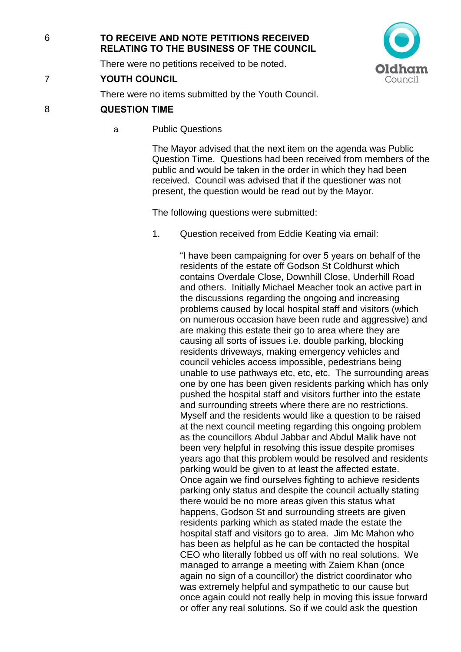# 6 **TO RECEIVE AND NOTE PETITIONS RECEIVED RELATING TO THE BUSINESS OF THE COUNCIL**

There were no petitions received to be noted.

# 7 **YOUTH COUNCIL**

Idham Council

There were no items submitted by the Youth Council.

# 8 **QUESTION TIME**

a Public Questions

The Mayor advised that the next item on the agenda was Public Question Time. Questions had been received from members of the public and would be taken in the order in which they had been received. Council was advised that if the questioner was not present, the question would be read out by the Mayor.

The following questions were submitted:

1. Question received from Eddie Keating via email:

"I have been campaigning for over 5 years on behalf of the residents of the estate off Godson St Coldhurst which contains Overdale Close, Downhill Close, Underhill Road and others. Initially Michael Meacher took an active part in the discussions regarding the ongoing and increasing problems caused by local hospital staff and visitors (which on numerous occasion have been rude and aggressive) and are making this estate their go to area where they are causing all sorts of issues i.e. double parking, blocking residents driveways, making emergency vehicles and council vehicles access impossible, pedestrians being unable to use pathways etc, etc, etc. The surrounding areas one by one has been given residents parking which has only pushed the hospital staff and visitors further into the estate and surrounding streets where there are no restrictions. Myself and the residents would like a question to be raised at the next council meeting regarding this ongoing problem as the councillors Abdul Jabbar and Abdul Malik have not been very helpful in resolving this issue despite promises years ago that this problem would be resolved and residents parking would be given to at least the affected estate. Once again we find ourselves fighting to achieve residents parking only status and despite the council actually stating there would be no more areas given this status what happens, Godson St and surrounding streets are given residents parking which as stated made the estate the hospital staff and visitors go to area. Jim Mc Mahon who has been as helpful as he can be contacted the hospital CEO who literally fobbed us off with no real solutions. We managed to arrange a meeting with Zaiem Khan (once again no sign of a councillor) the district coordinator who was extremely helpful and sympathetic to our cause but once again could not really help in moving this issue forward or offer any real solutions. So if we could ask the question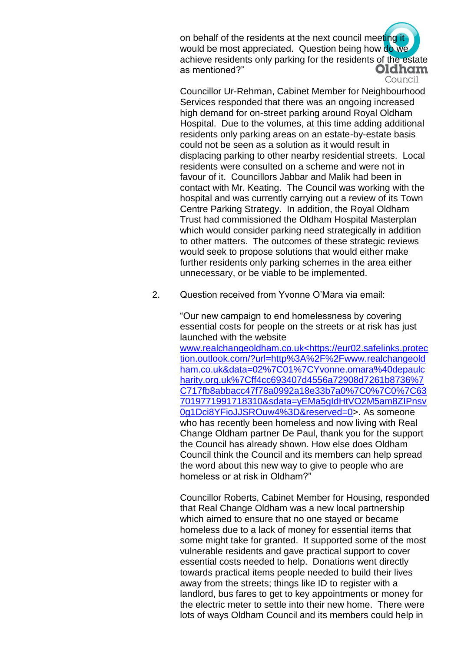on behalf of the residents at the next council meeting it would be most appreciated. Question being how do we achieve residents only parking for the residents of the estate Oldham as mentioned?" Council

Councillor Ur-Rehman, Cabinet Member for Neighbourhood Services responded that there was an ongoing increased high demand for on-street parking around Royal Oldham Hospital. Due to the volumes, at this time adding additional residents only parking areas on an estate-by-estate basis could not be seen as a solution as it would result in displacing parking to other nearby residential streets. Local residents were consulted on a scheme and were not in favour of it. Councillors Jabbar and Malik had been in contact with Mr. Keating. The Council was working with the hospital and was currently carrying out a review of its Town Centre Parking Strategy. In addition, the Royal Oldham Trust had commissioned the Oldham Hospital Masterplan which would consider parking need strategically in addition to other matters. The outcomes of these strategic reviews would seek to propose solutions that would either make further residents only parking schemes in the area either unnecessary, or be viable to be implemented.

2. Question received from Yvonne O'Mara via email:

"Our new campaign to end homelessness by covering essential costs for people on the streets or at risk has just launched with the website

www.realchangeoldham.co.uk<https://eur02.safelinks.protec tion.outlook.com/?url=http%3A%2F%2Fwww.realchangeold ham.co.uk&data=02%7C01%7CYvonne.omara%40depaulc harity.org.uk%7Cff4cc693407d4556a72908d7261b8736%7 C717fb8abbacc47f78a0992a18e33b7a0%7C0%7C0%7C63 7019771991718310&sdata=yEMa5gIdHtVO2M5am8ZIPnsv 0g1Dci8YFioJJSROuw4%3D&reserved=0>. As someone who has recently been homeless and now living with Real Change Oldham partner De Paul, thank you for the support the Council has already shown. How else does Oldham Council think the Council and its members can help spread the word about this new way to give to people who are homeless or at risk in Oldham?"

Councillor Roberts, Cabinet Member for Housing, responded that Real Change Oldham was a new local partnership which aimed to ensure that no one stayed or became homeless due to a lack of money for essential items that some might take for granted. It supported some of the most vulnerable residents and gave practical support to cover essential costs needed to help. Donations went directly towards practical items people needed to build their lives away from the streets; things like ID to register with a landlord, bus fares to get to key appointments or money for the electric meter to settle into their new home. There were lots of ways Oldham Council and its members could help in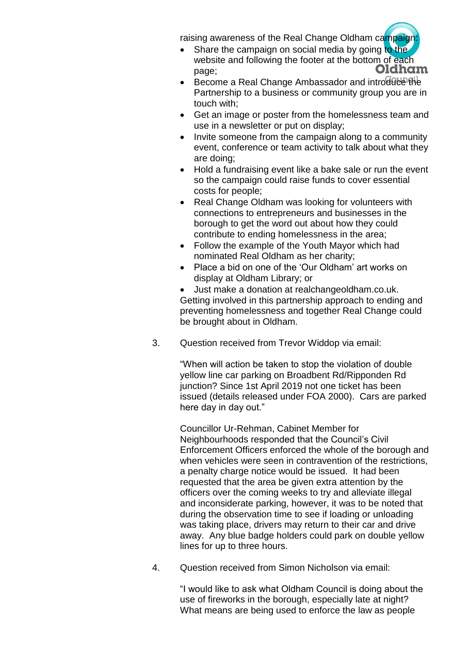raising awareness of the Real Change Oldham campaign:

- Share the campaign on social media by going to the website and following the footer at the bottom of each Oldham page;
- $\bullet$  Become a Real Change Ambassador and introduce the Partnership to a business or community group you are in touch with;
- Get an image or poster from the homelessness team and use in a newsletter or put on display;
- Invite someone from the campaign along to a community event, conference or team activity to talk about what they are doing;
- Hold a fundraising event like a bake sale or run the event so the campaign could raise funds to cover essential costs for people;
- Real Change Oldham was looking for volunteers with connections to entrepreneurs and businesses in the borough to get the word out about how they could contribute to ending homelessness in the area;
- Follow the example of the Youth Mayor which had nominated Real Oldham as her charity;
- Place a bid on one of the 'Our Oldham' art works on display at Oldham Library; or
- Just make a donation at realchangeoldham.co.uk. Getting involved in this partnership approach to ending and preventing homelessness and together Real Change could be brought about in Oldham.
- 3. Question received from Trevor Widdop via email:

"When will action be taken to stop the violation of double yellow line car parking on Broadbent Rd/Ripponden Rd junction? Since 1st April 2019 not one ticket has been issued (details released under FOA 2000). Cars are parked here day in day out."

Councillor Ur-Rehman, Cabinet Member for Neighbourhoods responded that the Council's Civil Enforcement Officers enforced the whole of the borough and when vehicles were seen in contravention of the restrictions, a penalty charge notice would be issued. It had been requested that the area be given extra attention by the officers over the coming weeks to try and alleviate illegal and inconsiderate parking, however, it was to be noted that during the observation time to see if loading or unloading was taking place, drivers may return to their car and drive away. Any blue badge holders could park on double yellow lines for up to three hours.

4. Question received from Simon Nicholson via email:

"I would like to ask what Oldham Council is doing about the use of fireworks in the borough, especially late at night? What means are being used to enforce the law as people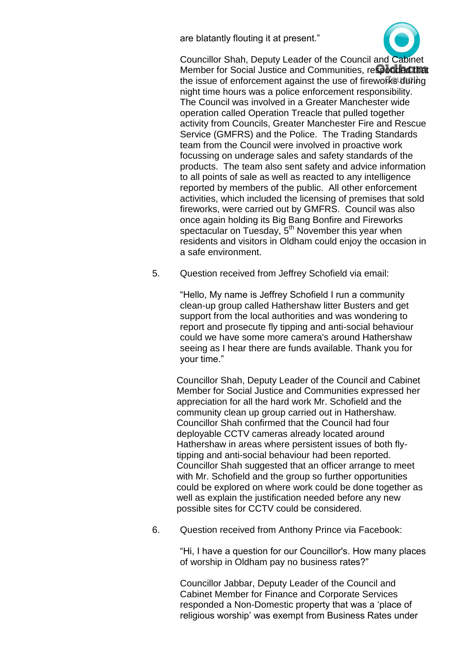are blatantly flouting it at present."



Councillor Shah, Deputy Leader of the Council and Cabinet Member for Social Justice and Communities, responded that the issue of enforcement against the use of fireworks during night time hours was a police enforcement responsibility. The Council was involved in a Greater Manchester wide operation called Operation Treacle that pulled together activity from Councils, Greater Manchester Fire and Rescue Service (GMFRS) and the Police. The Trading Standards team from the Council were involved in proactive work focussing on underage sales and safety standards of the products. The team also sent safety and advice information to all points of sale as well as reacted to any intelligence reported by members of the public. All other enforcement activities, which included the licensing of premises that sold fireworks, were carried out by GMFRS. Council was also once again holding its Big Bang Bonfire and Fireworks spectacular on Tuesday,  $5<sup>th</sup>$  November this year when residents and visitors in Oldham could enjoy the occasion in a safe environment.

5. Question received from Jeffrey Schofield via email:

"Hello, My name is Jeffrey Schofield I run a community clean-up group called Hathershaw litter Busters and get support from the local authorities and was wondering to report and prosecute fly tipping and anti-social behaviour could we have some more camera's around Hathershaw seeing as I hear there are funds available. Thank you for your time."

Councillor Shah, Deputy Leader of the Council and Cabinet Member for Social Justice and Communities expressed her appreciation for all the hard work Mr. Schofield and the community clean up group carried out in Hathershaw. Councillor Shah confirmed that the Council had four deployable CCTV cameras already located around Hathershaw in areas where persistent issues of both flytipping and anti-social behaviour had been reported. Councillor Shah suggested that an officer arrange to meet with Mr. Schofield and the group so further opportunities could be explored on where work could be done together as well as explain the justification needed before any new possible sites for CCTV could be considered.

6. Question received from Anthony Prince via Facebook:

"Hi, I have a question for our Councillor's. How many places of worship in Oldham pay no business rates?"

Councillor Jabbar, Deputy Leader of the Council and Cabinet Member for Finance and Corporate Services responded a Non-Domestic property that was a 'place of religious worship' was exempt from Business Rates under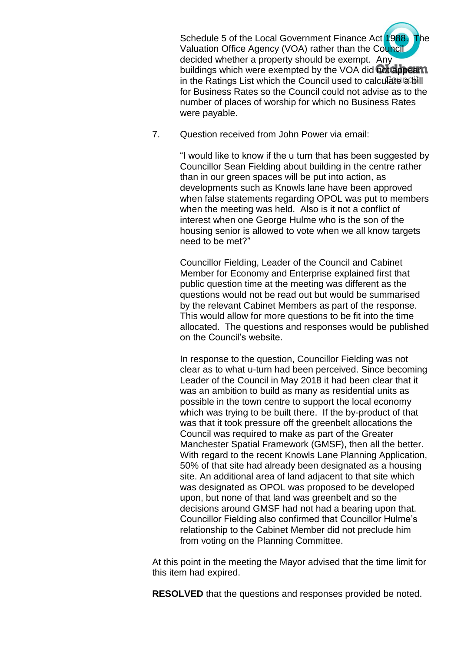Schedule 5 of the Local Government Finance Act 1988. The Valuation Office Agency (VOA) rather than the Council decided whether a property should be exempt. Any buildings which were exempted by the VOA did not appear n in the Ratings List which the Council used to calculate a bill for Business Rates so the Council could not advise as to the number of places of worship for which no Business Rates were payable.

7. Question received from John Power via email:

"I would like to know if the u turn that has been suggested by Councillor Sean Fielding about building in the centre rather than in our green spaces will be put into action, as developments such as Knowls lane have been approved when false statements regarding OPOL was put to members when the meeting was held. Also is it not a conflict of interest when one George Hulme who is the son of the housing senior is allowed to vote when we all know targets need to be met?"

Councillor Fielding, Leader of the Council and Cabinet Member for Economy and Enterprise explained first that public question time at the meeting was different as the questions would not be read out but would be summarised by the relevant Cabinet Members as part of the response. This would allow for more questions to be fit into the time allocated. The questions and responses would be published on the Council's website.

In response to the question, Councillor Fielding was not clear as to what u-turn had been perceived. Since becoming Leader of the Council in May 2018 it had been clear that it was an ambition to build as many as residential units as possible in the town centre to support the local economy which was trying to be built there. If the by-product of that was that it took pressure off the greenbelt allocations the Council was required to make as part of the Greater Manchester Spatial Framework (GMSF), then all the better. With regard to the recent Knowls Lane Planning Application. 50% of that site had already been designated as a housing site. An additional area of land adjacent to that site which was designated as OPOL was proposed to be developed upon, but none of that land was greenbelt and so the decisions around GMSF had not had a bearing upon that. Councillor Fielding also confirmed that Councillor Hulme's relationship to the Cabinet Member did not preclude him from voting on the Planning Committee.

At this point in the meeting the Mayor advised that the time limit for this item had expired.

**RESOLVED** that the questions and responses provided be noted.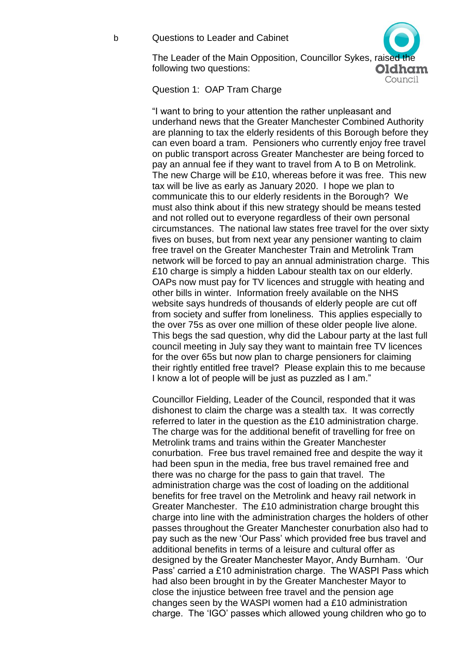b Questions to Leader and Cabinet

The Leader of the Main Opposition, Councillor Sykes, raised the following two questions: Oldham

Council

Question 1: OAP Tram Charge

"I want to bring to your attention the rather unpleasant and underhand news that the Greater Manchester Combined Authority are planning to tax the elderly residents of this Borough before they can even board a tram. Pensioners who currently enjoy free travel on public transport across Greater Manchester are being forced to pay an annual fee if they want to travel from A to B on Metrolink. The new Charge will be £10, whereas before it was free. This new tax will be live as early as January 2020. I hope we plan to communicate this to our elderly residents in the Borough? We must also think about if this new strategy should be means tested and not rolled out to everyone regardless of their own personal circumstances. The national law states free travel for the over sixty fives on buses, but from next year any pensioner wanting to claim free travel on the Greater Manchester Train and Metrolink Tram network will be forced to pay an annual administration charge. This £10 charge is simply a hidden Labour stealth tax on our elderly. OAPs now must pay for TV licences and struggle with heating and other bills in winter. Information freely available on the NHS website says hundreds of thousands of elderly people are cut off from society and suffer from loneliness. This applies especially to the over 75s as over one million of these older people live alone. This begs the sad question, why did the Labour party at the last full council meeting in July say they want to maintain free TV licences for the over 65s but now plan to charge pensioners for claiming their rightly entitled free travel? Please explain this to me because I know a lot of people will be just as puzzled as I am."

Councillor Fielding, Leader of the Council, responded that it was dishonest to claim the charge was a stealth tax. It was correctly referred to later in the question as the £10 administration charge. The charge was for the additional benefit of travelling for free on Metrolink trams and trains within the Greater Manchester conurbation. Free bus travel remained free and despite the way it had been spun in the media, free bus travel remained free and there was no charge for the pass to gain that travel. The administration charge was the cost of loading on the additional benefits for free travel on the Metrolink and heavy rail network in Greater Manchester. The £10 administration charge brought this charge into line with the administration charges the holders of other passes throughout the Greater Manchester conurbation also had to pay such as the new 'Our Pass' which provided free bus travel and additional benefits in terms of a leisure and cultural offer as designed by the Greater Manchester Mayor, Andy Burnham. 'Our Pass' carried a £10 administration charge. The WASPI Pass which had also been brought in by the Greater Manchester Mayor to close the injustice between free travel and the pension age changes seen by the WASPI women had a £10 administration charge. The 'IGO' passes which allowed young children who go to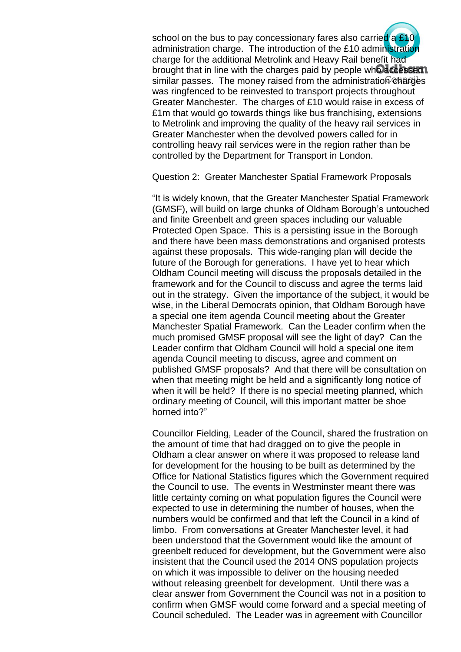school on the bus to pay concessionary fares also carried a £10 administration charge. The introduction of the £10 administration charge for the additional Metrolink and Heavy Rail benefit had brought that in line with the charges paid by people who accessed. similar passes. The money raised from the administration  $\mathcal C$  harges was ringfenced to be reinvested to transport projects throughout Greater Manchester. The charges of £10 would raise in excess of £1m that would go towards things like bus franchising, extensions to Metrolink and improving the quality of the heavy rail services in Greater Manchester when the devolved powers called for in controlling heavy rail services were in the region rather than be controlled by the Department for Transport in London.

Question 2: Greater Manchester Spatial Framework Proposals

"It is widely known, that the Greater Manchester Spatial Framework (GMSF), will build on large chunks of Oldham Borough's untouched and finite Greenbelt and green spaces including our valuable Protected Open Space. This is a persisting issue in the Borough and there have been mass demonstrations and organised protests against these proposals. This wide-ranging plan will decide the future of the Borough for generations. I have yet to hear which Oldham Council meeting will discuss the proposals detailed in the framework and for the Council to discuss and agree the terms laid out in the strategy. Given the importance of the subject, it would be wise, in the Liberal Democrats opinion, that Oldham Borough have a special one item agenda Council meeting about the Greater Manchester Spatial Framework. Can the Leader confirm when the much promised GMSF proposal will see the light of day? Can the Leader confirm that Oldham Council will hold a special one item agenda Council meeting to discuss, agree and comment on published GMSF proposals? And that there will be consultation on when that meeting might be held and a significantly long notice of when it will be held? If there is no special meeting planned, which ordinary meeting of Council, will this important matter be shoe horned into?"

Councillor Fielding, Leader of the Council, shared the frustration on the amount of time that had dragged on to give the people in Oldham a clear answer on where it was proposed to release land for development for the housing to be built as determined by the Office for National Statistics figures which the Government required the Council to use. The events in Westminster meant there was little certainty coming on what population figures the Council were expected to use in determining the number of houses, when the numbers would be confirmed and that left the Council in a kind of limbo. From conversations at Greater Manchester level, it had been understood that the Government would like the amount of greenbelt reduced for development, but the Government were also insistent that the Council used the 2014 ONS population projects on which it was impossible to deliver on the housing needed without releasing greenbelt for development. Until there was a clear answer from Government the Council was not in a position to confirm when GMSF would come forward and a special meeting of Council scheduled. The Leader was in agreement with Councillor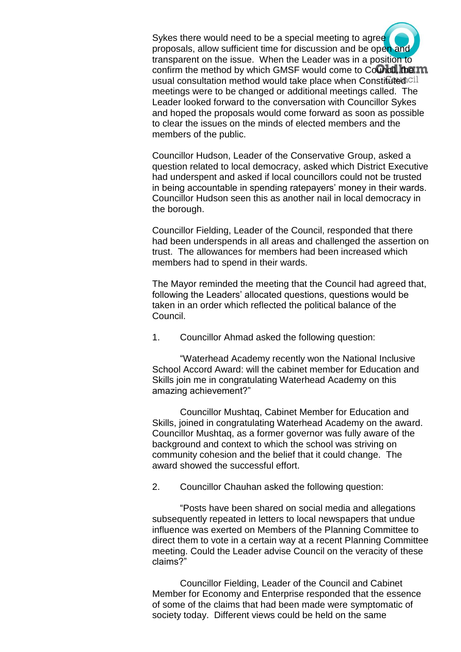Sykes there would need to be a special meeting to agree proposals, allow sufficient time for discussion and be open and transparent on the issue. When the Leader was in a position to confirm the method by which GMSF would come to Council, the m usual consultation method would take place when Constituted cil meetings were to be changed or additional meetings called. The Leader looked forward to the conversation with Councillor Sykes and hoped the proposals would come forward as soon as possible to clear the issues on the minds of elected members and the members of the public.

Councillor Hudson, Leader of the Conservative Group, asked a question related to local democracy, asked which District Executive had underspent and asked if local councillors could not be trusted in being accountable in spending ratepayers' money in their wards. Councillor Hudson seen this as another nail in local democracy in the borough.

Councillor Fielding, Leader of the Council, responded that there had been underspends in all areas and challenged the assertion on trust. The allowances for members had been increased which members had to spend in their wards.

The Mayor reminded the meeting that the Council had agreed that, following the Leaders' allocated questions, questions would be taken in an order which reflected the political balance of the Council.

1. Councillor Ahmad asked the following question:

"Waterhead Academy recently won the National Inclusive School Accord Award: will the cabinet member for Education and Skills join me in congratulating Waterhead Academy on this amazing achievement?"

Councillor Mushtaq, Cabinet Member for Education and Skills, joined in congratulating Waterhead Academy on the award. Councillor Mushtaq, as a former governor was fully aware of the background and context to which the school was striving on community cohesion and the belief that it could change. The award showed the successful effort.

2. Councillor Chauhan asked the following question:

"Posts have been shared on social media and allegations subsequently repeated in letters to local newspapers that undue influence was exerted on Members of the Planning Committee to direct them to vote in a certain way at a recent Planning Committee meeting. Could the Leader advise Council on the veracity of these claims?"

Councillor Fielding, Leader of the Council and Cabinet Member for Economy and Enterprise responded that the essence of some of the claims that had been made were symptomatic of society today. Different views could be held on the same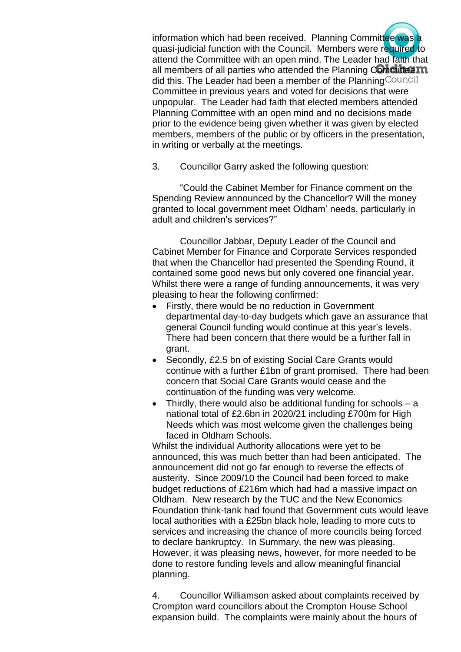information which had been received. Planning Committee was a quasi-judicial function with the Council. Members were required to attend the Committee with an open mind. The Leader had faith that all members of all parties who attended the Planning Committee  $m$ did this. The Leader had been a member of the Planning Council Committee in previous years and voted for decisions that were unpopular. The Leader had faith that elected members attended Planning Committee with an open mind and no decisions made prior to the evidence being given whether it was given by elected members, members of the public or by officers in the presentation, in writing or verbally at the meetings.

3. Councillor Garry asked the following question:

"Could the Cabinet Member for Finance comment on the Spending Review announced by the Chancellor? Will the money granted to local government meet Oldham' needs, particularly in adult and children's services?"

Councillor Jabbar, Deputy Leader of the Council and Cabinet Member for Finance and Corporate Services responded that when the Chancellor had presented the Spending Round, it contained some good news but only covered one financial year. Whilst there were a range of funding announcements, it was very pleasing to hear the following confirmed:

- Firstly, there would be no reduction in Government departmental day-to-day budgets which gave an assurance that general Council funding would continue at this year's levels. There had been concern that there would be a further fall in grant.
- Secondly, £2.5 bn of existing Social Care Grants would continue with a further £1bn of grant promised. There had been concern that Social Care Grants would cease and the continuation of the funding was very welcome.
- Thirdly, there would also be additional funding for schools a national total of £2.6bn in 2020/21 including £700m for High Needs which was most welcome given the challenges being faced in Oldham Schools.

Whilst the individual Authority allocations were yet to be announced, this was much better than had been anticipated. The announcement did not go far enough to reverse the effects of austerity. Since 2009/10 the Council had been forced to make budget reductions of £216m which had had a massive impact on Oldham. New research by the TUC and the New Economics Foundation think-tank had found that Government cuts would leave local authorities with a £25bn black hole, leading to more cuts to services and increasing the chance of more councils being forced to declare bankruptcy. In Summary, the new was pleasing. However, it was pleasing news, however, for more needed to be done to restore funding levels and allow meaningful financial planning.

4. Councillor Williamson asked about complaints received by Crompton ward councillors about the Crompton House School expansion build. The complaints were mainly about the hours of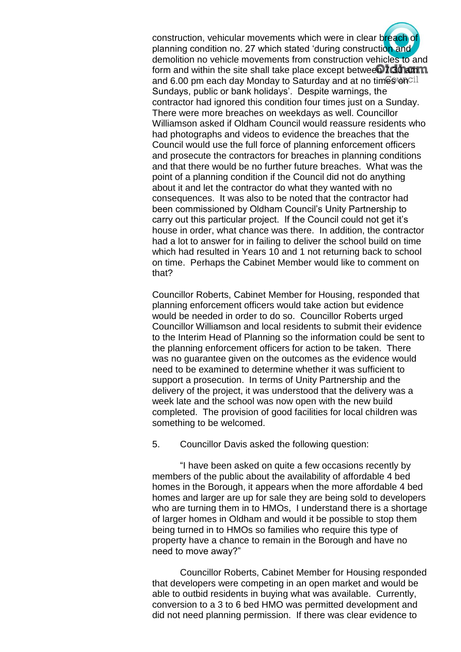construction, vehicular movements which were in clear breach of planning condition no. 27 which stated 'during construction and demolition no vehicle movements from construction vehicles to and form and within the site shall take place except betwee**n 7.30 amm** and 6.00 pm each day Monday to Saturday and at no times on  $C^{11}$ Sundays, public or bank holidays'. Despite warnings, the contractor had ignored this condition four times just on a Sunday. There were more breaches on weekdays as well. Councillor Williamson asked if Oldham Council would reassure residents who had photographs and videos to evidence the breaches that the Council would use the full force of planning enforcement officers and prosecute the contractors for breaches in planning conditions and that there would be no further future breaches. What was the point of a planning condition if the Council did not do anything about it and let the contractor do what they wanted with no consequences. It was also to be noted that the contractor had been commissioned by Oldham Council's Unity Partnership to carry out this particular project. If the Council could not get it's house in order, what chance was there. In addition, the contractor had a lot to answer for in failing to deliver the school build on time which had resulted in Years 10 and 1 not returning back to school on time. Perhaps the Cabinet Member would like to comment on that?

Councillor Roberts, Cabinet Member for Housing, responded that planning enforcement officers would take action but evidence would be needed in order to do so. Councillor Roberts urged Councillor Williamson and local residents to submit their evidence to the Interim Head of Planning so the information could be sent to the planning enforcement officers for action to be taken. There was no guarantee given on the outcomes as the evidence would need to be examined to determine whether it was sufficient to support a prosecution. In terms of Unity Partnership and the delivery of the project, it was understood that the delivery was a week late and the school was now open with the new build completed. The provision of good facilities for local children was something to be welcomed.

5. Councillor Davis asked the following question:

"I have been asked on quite a few occasions recently by members of the public about the availability of affordable 4 bed homes in the Borough, it appears when the more affordable 4 bed homes and larger are up for sale they are being sold to developers who are turning them in to HMOs, I understand there is a shortage of larger homes in Oldham and would it be possible to stop them being turned in to HMOs so families who require this type of property have a chance to remain in the Borough and have no need to move away?"

Councillor Roberts, Cabinet Member for Housing responded that developers were competing in an open market and would be able to outbid residents in buying what was available. Currently, conversion to a 3 to 6 bed HMO was permitted development and did not need planning permission. If there was clear evidence to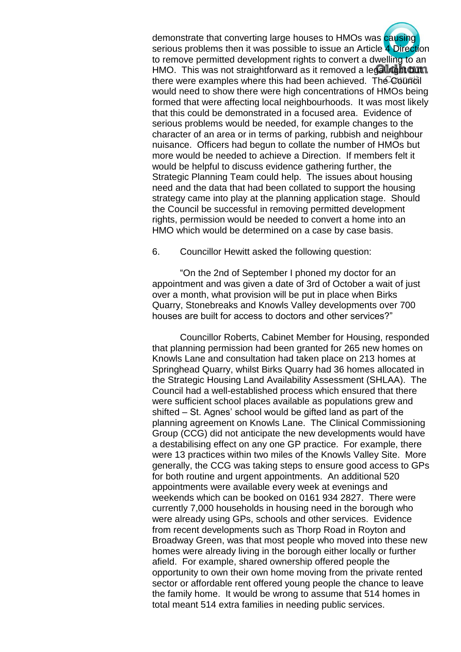demonstrate that converting large houses to HMOs was causing serious problems then it was possible to issue an Article 4 Direction to remove permitted development rights to convert a dwelling to an HMO. This was not straightforward as it removed a legal right buth. there were examples where this had been achieved. The Council would need to show there were high concentrations of HMOs being formed that were affecting local neighbourhoods. It was most likely that this could be demonstrated in a focused area. Evidence of serious problems would be needed, for example changes to the character of an area or in terms of parking, rubbish and neighbour nuisance. Officers had begun to collate the number of HMOs but more would be needed to achieve a Direction. If members felt it would be helpful to discuss evidence gathering further, the Strategic Planning Team could help. The issues about housing need and the data that had been collated to support the housing strategy came into play at the planning application stage. Should the Council be successful in removing permitted development rights, permission would be needed to convert a home into an HMO which would be determined on a case by case basis.

6. Councillor Hewitt asked the following question:

"On the 2nd of September I phoned my doctor for an appointment and was given a date of 3rd of October a wait of just over a month, what provision will be put in place when Birks Quarry, Stonebreaks and Knowls Valley developments over 700 houses are built for access to doctors and other services?"

Councillor Roberts, Cabinet Member for Housing, responded that planning permission had been granted for 265 new homes on Knowls Lane and consultation had taken place on 213 homes at Springhead Quarry, whilst Birks Quarry had 36 homes allocated in the Strategic Housing Land Availability Assessment (SHLAA). The Council had a well-established process which ensured that there were sufficient school places available as populations grew and shifted – St. Agnes' school would be gifted land as part of the planning agreement on Knowls Lane. The Clinical Commissioning Group (CCG) did not anticipate the new developments would have a destabilising effect on any one GP practice. For example, there were 13 practices within two miles of the Knowls Valley Site. More generally, the CCG was taking steps to ensure good access to GPs for both routine and urgent appointments. An additional 520 appointments were available every week at evenings and weekends which can be booked on 0161 934 2827. There were currently 7,000 households in housing need in the borough who were already using GPs, schools and other services. Evidence from recent developments such as Thorp Road in Royton and Broadway Green, was that most people who moved into these new homes were already living in the borough either locally or further afield. For example, shared ownership offered people the opportunity to own their own home moving from the private rented sector or affordable rent offered young people the chance to leave the family home. It would be wrong to assume that 514 homes in total meant 514 extra families in needing public services.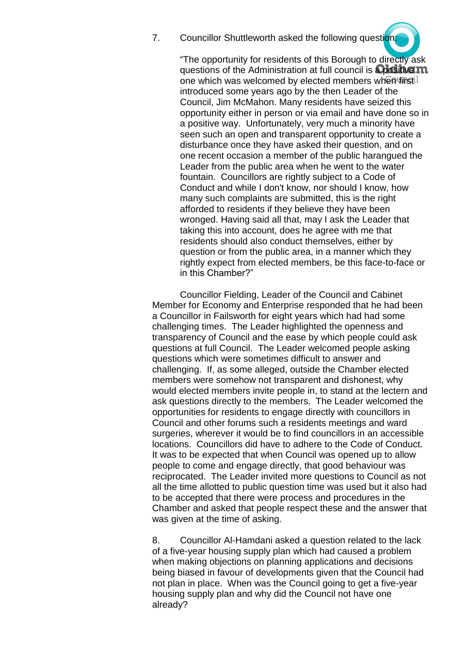7. Councillor Shuttleworth asked the following question:

"The opportunity for residents of this Borough to directly ask questions of the Administration at full council is a positive m one which was welcomed by elected members when first introduced some years ago by the then Leader of the Council, Jim McMahon. Many residents have seized this opportunity either in person or via email and have done so in a positive way. Unfortunately, very much a minority have seen such an open and transparent opportunity to create a disturbance once they have asked their question, and on one recent occasion a member of the public harangued the Leader from the public area when he went to the water fountain. Councillors are rightly subject to a Code of Conduct and while I don't know, nor should I know, how many such complaints are submitted, this is the right afforded to residents if they believe they have been wronged. Having said all that, may I ask the Leader that taking this into account, does he agree with me that residents should also conduct themselves, either by question or from the public area, in a manner which they rightly expect from elected members, be this face-to-face or in this Chamber?"

Councillor Fielding, Leader of the Council and Cabinet Member for Economy and Enterprise responded that he had been a Councillor in Failsworth for eight years which had had some challenging times. The Leader highlighted the openness and transparency of Council and the ease by which people could ask questions at full Council. The Leader welcomed people asking questions which were sometimes difficult to answer and challenging. If, as some alleged, outside the Chamber elected members were somehow not transparent and dishonest, why would elected members invite people in, to stand at the lectern and ask questions directly to the members. The Leader welcomed the opportunities for residents to engage directly with councillors in Council and other forums such a residents meetings and ward surgeries, wherever it would be to find councillors in an accessible locations. Councillors did have to adhere to the Code of Conduct. It was to be expected that when Council was opened up to allow people to come and engage directly, that good behaviour was reciprocated. The Leader invited more questions to Council as not all the time allotted to public question time was used but it also had to be accepted that there were process and procedures in the Chamber and asked that people respect these and the answer that was given at the time of asking.

8. Councillor Al-Hamdani asked a question related to the lack of a five-year housing supply plan which had caused a problem when making objections on planning applications and decisions being biased in favour of developments given that the Council had not plan in place. When was the Council going to get a five-year housing supply plan and why did the Council not have one already?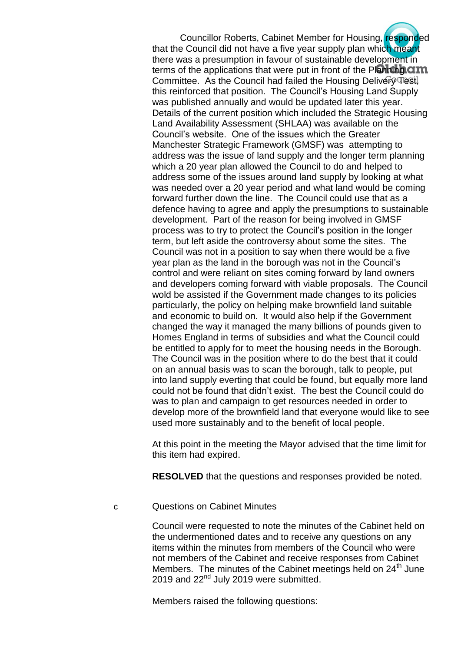Councillor Roberts, Cabinet Member for Housing, responded that the Council did not have a five year supply plan which meant there was a presumption in favour of sustainable development in terms of the applications that were put in front of the Planning  $\alpha m$ Committee. As the Council had failed the Housing Deliver (Test). this reinforced that position. The Council's Housing Land Supply was published annually and would be updated later this year. Details of the current position which included the Strategic Housing Land Availability Assessment (SHLAA) was available on the Council's website. One of the issues which the Greater Manchester Strategic Framework (GMSF) was attempting to address was the issue of land supply and the longer term planning which a 20 year plan allowed the Council to do and helped to address some of the issues around land supply by looking at what was needed over a 20 year period and what land would be coming forward further down the line. The Council could use that as a defence having to agree and apply the presumptions to sustainable development. Part of the reason for being involved in GMSF process was to try to protect the Council's position in the longer term, but left aside the controversy about some the sites. The Council was not in a position to say when there would be a five year plan as the land in the borough was not in the Council's control and were reliant on sites coming forward by land owners and developers coming forward with viable proposals. The Council wold be assisted if the Government made changes to its policies particularly, the policy on helping make brownfield land suitable and economic to build on. It would also help if the Government changed the way it managed the many billions of pounds given to Homes England in terms of subsidies and what the Council could be entitled to apply for to meet the housing needs in the Borough. The Council was in the position where to do the best that it could on an annual basis was to scan the borough, talk to people, put into land supply everting that could be found, but equally more land could not be found that didn't exist. The best the Council could do was to plan and campaign to get resources needed in order to develop more of the brownfield land that everyone would like to see used more sustainably and to the benefit of local people.

At this point in the meeting the Mayor advised that the time limit for this item had expired.

**RESOLVED** that the questions and responses provided be noted.

c Questions on Cabinet Minutes

Council were requested to note the minutes of the Cabinet held on the undermentioned dates and to receive any questions on any items within the minutes from members of the Council who were not members of the Cabinet and receive responses from Cabinet Members. The minutes of the Cabinet meetings held on 24<sup>th</sup> June 2019 and 22<sup>nd</sup> July 2019 were submitted.

Members raised the following questions: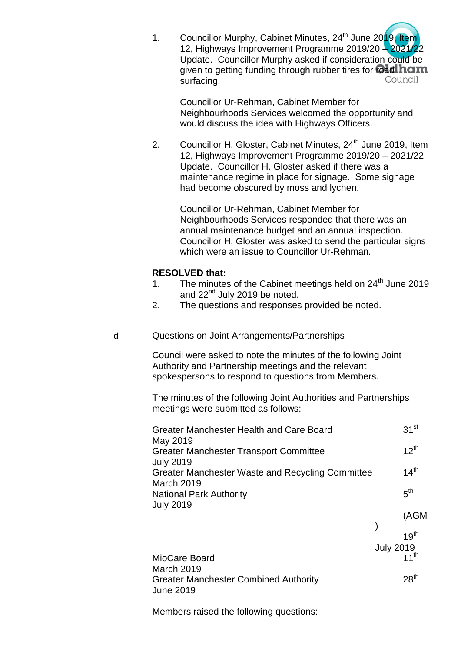1. Councillor Murphy, Cabinet Minutes, 24<sup>th</sup> June 2019, Item 12, Highways Improvement Programme 2019/20 – 2021/22 Update. Councillor Murphy asked if consideration could be given to getting funding through rubber tires for **madition**<br>surfacing surfacing.

Councillor Ur-Rehman, Cabinet Member for Neighbourhoods Services welcomed the opportunity and would discuss the idea with Highways Officers.

2. Councillor H. Gloster, Cabinet Minutes, 24<sup>th</sup> June 2019, Item 12, Highways Improvement Programme 2019/20 – 2021/22 Update. Councillor H. Gloster asked if there was a maintenance regime in place for signage. Some signage had become obscured by moss and lychen.

Councillor Ur-Rehman, Cabinet Member for Neighbourhoods Services responded that there was an annual maintenance budget and an annual inspection. Councillor H. Gloster was asked to send the particular signs which were an issue to Councillor Ur-Rehman.

#### **RESOLVED that:**

- 1. The minutes of the Cabinet meetings held on  $24<sup>th</sup>$  June 2019 and  $22<sup>nd</sup>$  July 2019 be noted.
- 2. The questions and responses provided be noted.
- d Questions on Joint Arrangements/Partnerships

Council were asked to note the minutes of the following Joint Authority and Partnership meetings and the relevant spokespersons to respond to questions from Members.

The minutes of the following Joint Authorities and Partnerships meetings were submitted as follows:

| Greater Manchester Health and Care Board                             | 31 <sup>st</sup> |
|----------------------------------------------------------------------|------------------|
| May 2019<br><b>Greater Manchester Transport Committee</b>            | $12^{th}$        |
| <b>July 2019</b><br>Greater Manchester Waste and Recycling Committee | 14 <sup>th</sup> |
| <b>March 2019</b><br><b>National Park Authority</b>                  | 5 <sup>th</sup>  |
| <b>July 2019</b>                                                     | (AGM             |
|                                                                      | 19 <sup>th</sup> |

|                                              | <b>July 2019</b> |
|----------------------------------------------|------------------|
| MioCare Board                                | 11 <sup>th</sup> |
| March 2019                                   |                  |
| <b>Greater Manchester Combined Authority</b> | 28 <sup>th</sup> |
| June 2019                                    |                  |

Members raised the following questions: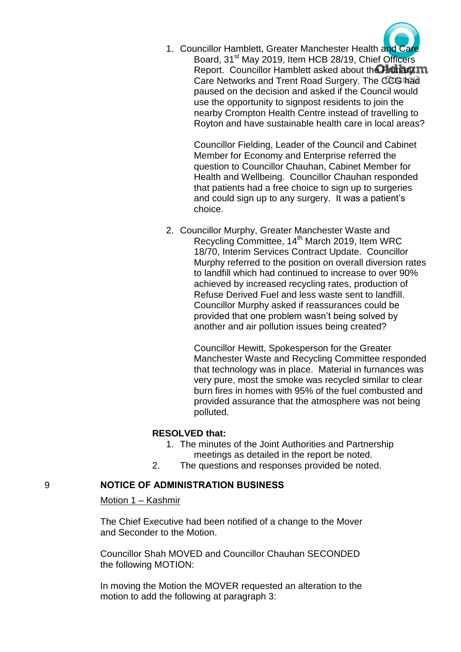

1. Councillor Hamblett, Greater Manchester Health and Care Board, 31<sup>st</sup> May 2019, Item HCB 28/19, Chief Officers Report. Councillor Hamblett asked about the Primary m Care Networks and Trent Road Surgery. The CCG had paused on the decision and asked if the Council would use the opportunity to signpost residents to join the nearby Crompton Health Centre instead of travelling to Royton and have sustainable health care in local areas?

> Councillor Fielding, Leader of the Council and Cabinet Member for Economy and Enterprise referred the question to Councillor Chauhan, Cabinet Member for Health and Wellbeing. Councillor Chauhan responded that patients had a free choice to sign up to surgeries and could sign up to any surgery. It was a patient's choice.

2. Councillor Murphy, Greater Manchester Waste and Recycling Committee, 14<sup>th</sup> March 2019, Item WRC 18/70, Interim Services Contract Update. Councillor Murphy referred to the position on overall diversion rates to landfill which had continued to increase to over 90% achieved by increased recycling rates, production of Refuse Derived Fuel and less waste sent to landfill. Councillor Murphy asked if reassurances could be provided that one problem wasn't being solved by another and air pollution issues being created?

> Councillor Hewitt, Spokesperson for the Greater Manchester Waste and Recycling Committee responded that technology was in place. Material in furnances was very pure, most the smoke was recycled similar to clear burn fires in homes with 95% of the fuel combusted and provided assurance that the atmosphere was not being polluted.

#### **RESOLVED that:**

- 1. The minutes of the Joint Authorities and Partnership meetings as detailed in the report be noted.
- 2. The questions and responses provided be noted.

#### 9 **NOTICE OF ADMINISTRATION BUSINESS**

Motion 1 – Kashmir

The Chief Executive had been notified of a change to the Mover and Seconder to the Motion.

Councillor Shah MOVED and Councillor Chauhan SECONDED the following MOTION:

In moving the Motion the MOVER requested an alteration to the motion to add the following at paragraph 3: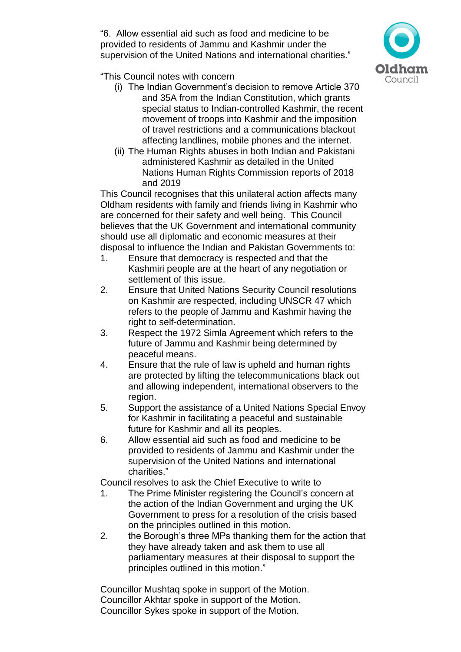"6. Allow essential aid such as food and medicine to be provided to residents of Jammu and Kashmir under the supervision of the United Nations and international charities."



"This Council notes with concern

- (i) The Indian Government's decision to remove Article 370 and 35A from the Indian Constitution, which grants special status to Indian-controlled Kashmir, the recent movement of troops into Kashmir and the imposition of travel restrictions and a communications blackout affecting landlines, mobile phones and the internet.
- (ii) The Human Rights abuses in both Indian and Pakistani administered Kashmir as detailed in the United Nations Human Rights Commission reports of 2018 and 2019

This Council recognises that this unilateral action affects many Oldham residents with family and friends living in Kashmir who are concerned for their safety and well being. This Council believes that the UK Government and international community should use all diplomatic and economic measures at their disposal to influence the Indian and Pakistan Governments to:

- 1. Ensure that democracy is respected and that the Kashmiri people are at the heart of any negotiation or settlement of this issue.
- 2. Ensure that United Nations Security Council resolutions on Kashmir are respected, including UNSCR 47 which refers to the people of Jammu and Kashmir having the right to self-determination.
- 3. Respect the 1972 Simla Agreement which refers to the future of Jammu and Kashmir being determined by peaceful means.
- 4. Ensure that the rule of law is upheld and human rights are protected by lifting the telecommunications black out and allowing independent, international observers to the region.
- 5. Support the assistance of a United Nations Special Envoy for Kashmir in facilitating a peaceful and sustainable future for Kashmir and all its peoples.
- 6. Allow essential aid such as food and medicine to be provided to residents of Jammu and Kashmir under the supervision of the United Nations and international charities."

Council resolves to ask the Chief Executive to write to

- 1. The Prime Minister registering the Council's concern at the action of the Indian Government and urging the UK Government to press for a resolution of the crisis based on the principles outlined in this motion.
- 2. the Borough's three MPs thanking them for the action that they have already taken and ask them to use all parliamentary measures at their disposal to support the principles outlined in this motion."

Councillor Mushtaq spoke in support of the Motion. Councillor Akhtar spoke in support of the Motion. Councillor Sykes spoke in support of the Motion.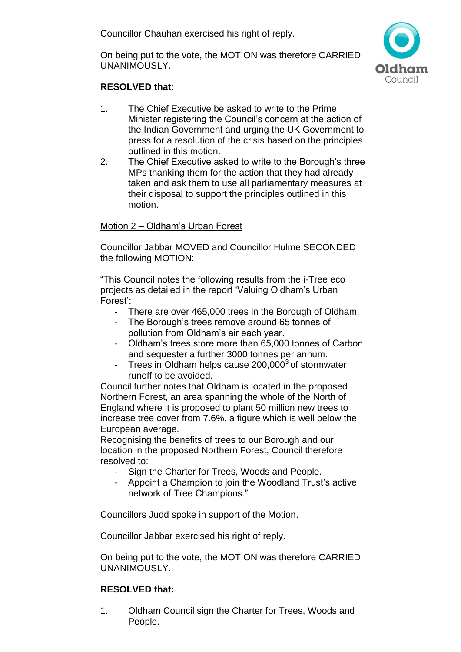Councillor Chauhan exercised his right of reply.

On being put to the vote, the MOTION was therefore CARRIED UNANIMOUSLY.



# **RESOLVED that:**

- 1. The Chief Executive be asked to write to the Prime Minister registering the Council's concern at the action of the Indian Government and urging the UK Government to press for a resolution of the crisis based on the principles outlined in this motion.
- 2. The Chief Executive asked to write to the Borough's three MPs thanking them for the action that they had already taken and ask them to use all parliamentary measures at their disposal to support the principles outlined in this motion.

### Motion 2 – Oldham's Urban Forest

Councillor Jabbar MOVED and Councillor Hulme SECONDED the following MOTION:

"This Council notes the following results from the i-Tree eco projects as detailed in the report 'Valuing Oldham's Urban Forest':

- There are over 465,000 trees in the Borough of Oldham.
- The Borough's trees remove around 65 tonnes of pollution from Oldham's air each year.
- Oldham's trees store more than 65,000 tonnes of Carbon and sequester a further 3000 tonnes per annum.
- Trees in Oldham helps cause  $200,000^3$  of stormwater runoff to be avoided.

Council further notes that Oldham is located in the proposed Northern Forest, an area spanning the whole of the North of England where it is proposed to plant 50 million new trees to increase tree cover from 7.6%, a figure which is well below the European average.

Recognising the benefits of trees to our Borough and our location in the proposed Northern Forest, Council therefore resolved to:

- Sign the Charter for Trees, Woods and People.
- Appoint a Champion to join the Woodland Trust's active network of Tree Champions."

Councillors Judd spoke in support of the Motion.

Councillor Jabbar exercised his right of reply.

On being put to the vote, the MOTION was therefore CARRIED UNANIMOUSLY.

# **RESOLVED that:**

1. Oldham Council sign the Charter for Trees, Woods and People.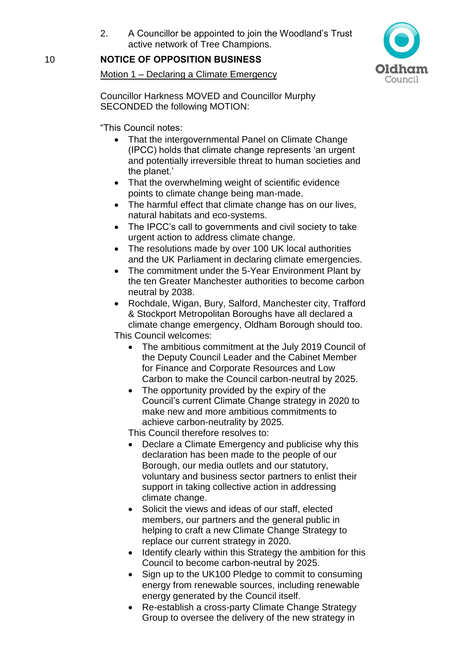2. A Councillor be appointed to join the Woodland's Trust active network of Tree Champions.

# 10 **NOTICE OF OPPOSITION BUSINESS**

Motion 1 – Declaring a Climate Emergency

Council

Councillor Harkness MOVED and Councillor Murphy SECONDED the following MOTION:

"This Council notes:

- That the intergovernmental Panel on Climate Change (IPCC) holds that climate change represents 'an urgent and potentially irreversible threat to human societies and the planet.'
- That the overwhelming weight of scientific evidence points to climate change being man-made.
- The harmful effect that climate change has on our lives, natural habitats and eco-systems.
- The IPCC's call to governments and civil society to take urgent action to address climate change.
- The resolutions made by over 100 UK local authorities and the UK Parliament in declaring climate emergencies.
- The commitment under the 5-Year Environment Plant by the ten Greater Manchester authorities to become carbon neutral by 2038.
- Rochdale, Wigan, Bury, Salford, Manchester city, Trafford & Stockport Metropolitan Boroughs have all declared a climate change emergency, Oldham Borough should too. This Council welcomes:
	- The ambitious commitment at the July 2019 Council of the Deputy Council Leader and the Cabinet Member for Finance and Corporate Resources and Low Carbon to make the Council carbon-neutral by 2025.
	- The opportunity provided by the expiry of the Council's current Climate Change strategy in 2020 to make new and more ambitious commitments to achieve carbon-neutrality by 2025.

This Council therefore resolves to:

- Declare a Climate Emergency and publicise why this declaration has been made to the people of our Borough, our media outlets and our statutory, voluntary and business sector partners to enlist their support in taking collective action in addressing climate change.
- Solicit the views and ideas of our staff, elected members, our partners and the general public in helping to craft a new Climate Change Strategy to replace our current strategy in 2020.
- Identify clearly within this Strategy the ambition for this Council to become carbon-neutral by 2025.
- Sign up to the UK100 Pledge to commit to consuming energy from renewable sources, including renewable energy generated by the Council itself.
- Re-establish a cross-party Climate Change Strategy Group to oversee the delivery of the new strategy in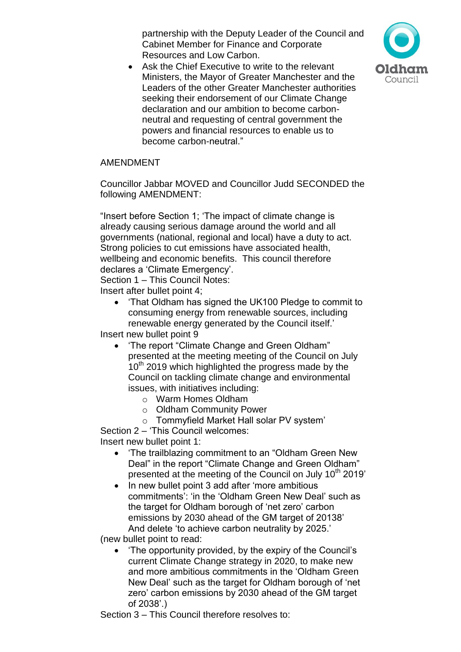partnership with the Deputy Leader of the Council and Cabinet Member for Finance and Corporate Resources and Low Carbon.



• Ask the Chief Executive to write to the relevant Ministers, the Mayor of Greater Manchester and the Leaders of the other Greater Manchester authorities seeking their endorsement of our Climate Change declaration and our ambition to become carbonneutral and requesting of central government the powers and financial resources to enable us to become carbon-neutral."

## AMENDMENT

Councillor Jabbar MOVED and Councillor Judd SECONDED the following AMENDMENT:

"Insert before Section 1; 'The impact of climate change is already causing serious damage around the world and all governments (national, regional and local) have a duty to act. Strong policies to cut emissions have associated health, wellbeing and economic benefits. This council therefore declares a 'Climate Emergency'.

Section 1 – This Council Notes:

Insert after bullet point 4;

 'That Oldham has signed the UK100 Pledge to commit to consuming energy from renewable sources, including renewable energy generated by the Council itself.'

Insert new bullet point 9

- 'The report "Climate Change and Green Oldham" presented at the meeting meeting of the Council on July  $10<sup>th</sup>$  2019 which highlighted the progress made by the Council on tackling climate change and environmental issues, with initiatives including:
	- o Warm Homes Oldham
	- o Oldham Community Power
	- o Tommyfield Market Hall solar PV system'

Section 2 – 'This Council welcomes: Insert new bullet point 1:

- 'The trailblazing commitment to an "Oldham Green New Deal" in the report "Climate Change and Green Oldham" presented at the meeting of the Council on July  $10<sup>th</sup>$  2019'
- In new bullet point 3 add after 'more ambitious commitments': 'in the 'Oldham Green New Deal' such as the target for Oldham borough of 'net zero' carbon emissions by 2030 ahead of the GM target of 20138' And delete 'to achieve carbon neutrality by 2025.'

(new bullet point to read:

 'The opportunity provided, by the expiry of the Council's current Climate Change strategy in 2020, to make new and more ambitious commitments in the 'Oldham Green New Deal' such as the target for Oldham borough of 'net zero' carbon emissions by 2030 ahead of the GM target of 2038'.)

Section 3 – This Council therefore resolves to: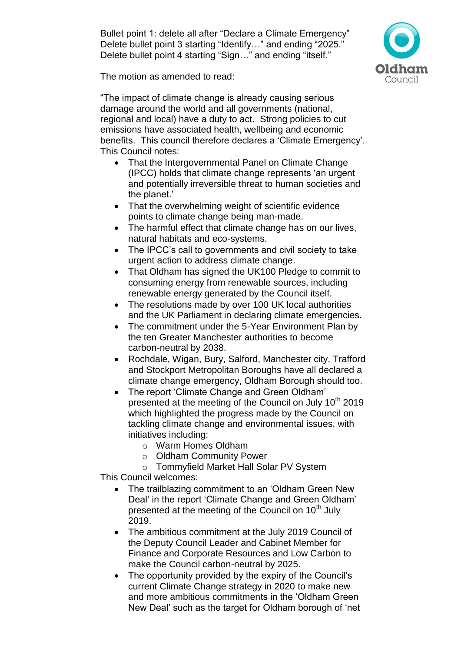Bullet point 1: delete all after "Declare a Climate Emergency" Delete bullet point 3 starting "Identify..." and ending "2025." Delete bullet point 4 starting "Sign..." and ending "itself."



The motion as amended to read:

"The impact of climate change is already causing serious damage around the world and all governments (national, regional and local) have a duty to act. Strong policies to cut emissions have associated health, wellbeing and economic benefits. This council therefore declares a 'Climate Emergency'. This Council notes:

- That the Intergovernmental Panel on Climate Change (IPCC) holds that climate change represents 'an urgent and potentially irreversible threat to human societies and the planet.'
- That the overwhelming weight of scientific evidence points to climate change being man-made.
- The harmful effect that climate change has on our lives, natural habitats and eco-systems.
- The IPCC's call to governments and civil society to take urgent action to address climate change.
- That Oldham has signed the UK100 Pledge to commit to consuming energy from renewable sources, including renewable energy generated by the Council itself.
- The resolutions made by over 100 UK local authorities and the UK Parliament in declaring climate emergencies.
- The commitment under the 5-Year Environment Plan by the ten Greater Manchester authorities to become carbon-neutral by 2038.
- Rochdale, Wigan, Bury, Salford, Manchester city, Trafford and Stockport Metropolitan Boroughs have all declared a climate change emergency, Oldham Borough should too.
- The report 'Climate Change and Green Oldham' presented at the meeting of the Council on July  $10<sup>th</sup>$  2019 which highlighted the progress made by the Council on tackling climate change and environmental issues, with initiatives including:
	- o Warm Homes Oldham
	- o Oldham Community Power
	- o Tommyfield Market Hall Solar PV System

This Council welcomes:

- The trailblazing commitment to an 'Oldham Green New Deal' in the report 'Climate Change and Green Oldham' presented at the meeting of the Council on 10<sup>th</sup> July 2019.
- The ambitious commitment at the July 2019 Council of the Deputy Council Leader and Cabinet Member for Finance and Corporate Resources and Low Carbon to make the Council carbon-neutral by 2025.
- The opportunity provided by the expiry of the Council's current Climate Change strategy in 2020 to make new and more ambitious commitments in the 'Oldham Green New Deal' such as the target for Oldham borough of 'net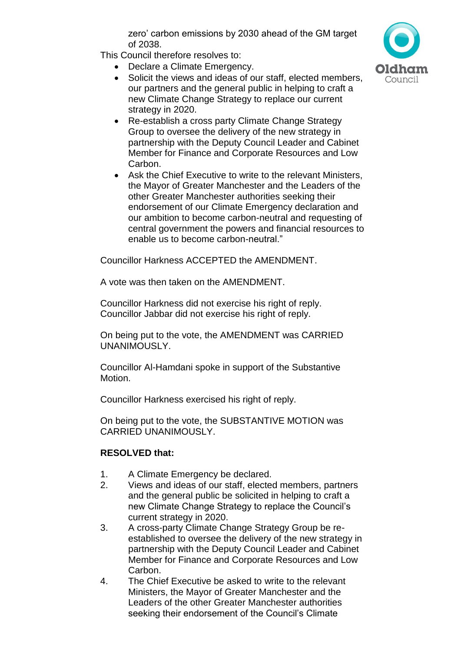zero' carbon emissions by 2030 ahead of the GM target of 2038.

This Council therefore resolves to:

- Declare a Climate Emergency.
- Solicit the views and ideas of our staff, elected members, our partners and the general public in helping to craft a new Climate Change Strategy to replace our current strategy in 2020.
- Re-establish a cross party Climate Change Strategy Group to oversee the delivery of the new strategy in partnership with the Deputy Council Leader and Cabinet Member for Finance and Corporate Resources and Low Carbon.
- Ask the Chief Executive to write to the relevant Ministers, the Mayor of Greater Manchester and the Leaders of the other Greater Manchester authorities seeking their endorsement of our Climate Emergency declaration and our ambition to become carbon-neutral and requesting of central government the powers and financial resources to enable us to become carbon-neutral."

Councillor Harkness ACCEPTED the AMENDMENT.

A vote was then taken on the AMENDMENT.

Councillor Harkness did not exercise his right of reply. Councillor Jabbar did not exercise his right of reply.

On being put to the vote, the AMENDMENT was CARRIED UNANIMOUSLY.

Councillor Al-Hamdani spoke in support of the Substantive Motion.

Councillor Harkness exercised his right of reply.

On being put to the vote, the SUBSTANTIVE MOTION was CARRIED UNANIMOUSLY.

# **RESOLVED that:**

- 1. A Climate Emergency be declared.
- 2. Views and ideas of our staff, elected members, partners and the general public be solicited in helping to craft a new Climate Change Strategy to replace the Council's current strategy in 2020.
- 3. A cross-party Climate Change Strategy Group be reestablished to oversee the delivery of the new strategy in partnership with the Deputy Council Leader and Cabinet Member for Finance and Corporate Resources and Low Carbon.
- 4. The Chief Executive be asked to write to the relevant Ministers, the Mayor of Greater Manchester and the Leaders of the other Greater Manchester authorities seeking their endorsement of the Council's Climate

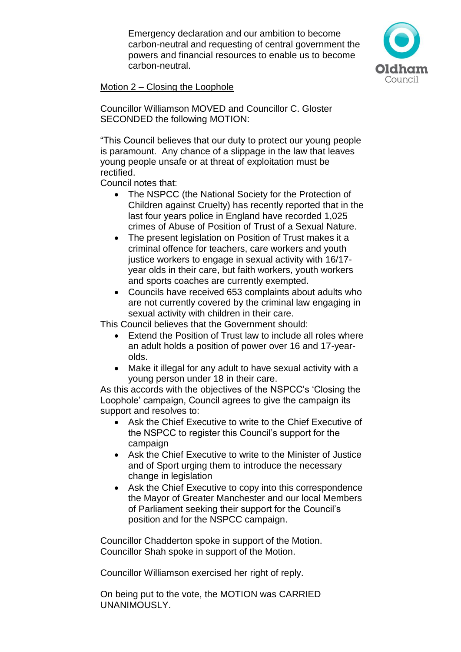Emergency declaration and our ambition to become carbon-neutral and requesting of central government the powers and financial resources to enable us to become carbon-neutral.



Motion 2 – Closing the Loophole

Councillor Williamson MOVED and Councillor C. Gloster SECONDED the following MOTION:

"This Council believes that our duty to protect our young people is paramount. Any chance of a slippage in the law that leaves young people unsafe or at threat of exploitation must be rectified.

Council notes that:

- The NSPCC (the National Society for the Protection of Children against Cruelty) has recently reported that in the last four years police in England have recorded 1,025 crimes of Abuse of Position of Trust of a Sexual Nature.
- The present legislation on Position of Trust makes it a criminal offence for teachers, care workers and youth justice workers to engage in sexual activity with 16/17year olds in their care, but faith workers, youth workers and sports coaches are currently exempted.
- Councils have received 653 complaints about adults who are not currently covered by the criminal law engaging in sexual activity with children in their care.

This Council believes that the Government should:

- Extend the Position of Trust law to include all roles where an adult holds a position of power over 16 and 17-yearolds.
- Make it illegal for any adult to have sexual activity with a young person under 18 in their care.

As this accords with the objectives of the NSPCC's 'Closing the Loophole' campaign, Council agrees to give the campaign its support and resolves to:

- Ask the Chief Executive to write to the Chief Executive of the NSPCC to register this Council's support for the campaign
- Ask the Chief Executive to write to the Minister of Justice and of Sport urging them to introduce the necessary change in legislation
- Ask the Chief Executive to copy into this correspondence the Mayor of Greater Manchester and our local Members of Parliament seeking their support for the Council's position and for the NSPCC campaign.

Councillor Chadderton spoke in support of the Motion. Councillor Shah spoke in support of the Motion.

Councillor Williamson exercised her right of reply.

On being put to the vote, the MOTION was CARRIED UNANIMOUSLY.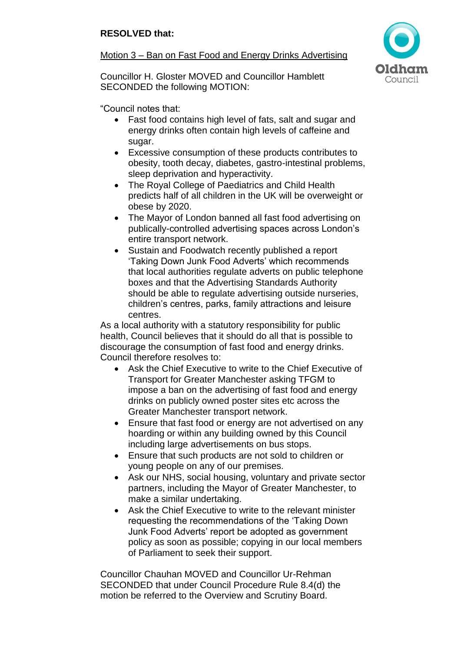# Motion 3 – Ban on Fast Food and Energy Drinks Advertising



Councillor H. Gloster MOVED and Councillor Hamblett SECONDED the following MOTION:

"Council notes that:

- Fast food contains high level of fats, salt and sugar and energy drinks often contain high levels of caffeine and sugar.
- Excessive consumption of these products contributes to obesity, tooth decay, diabetes, gastro-intestinal problems, sleep deprivation and hyperactivity.
- The Royal College of Paediatrics and Child Health predicts half of all children in the UK will be overweight or obese by 2020.
- The Mayor of London banned all fast food advertising on publically-controlled advertising spaces across London's entire transport network.
- Sustain and Foodwatch recently published a report 'Taking Down Junk Food Adverts' which recommends that local authorities regulate adverts on public telephone boxes and that the Advertising Standards Authority should be able to regulate advertising outside nurseries, children's centres, parks, family attractions and leisure centres.

As a local authority with a statutory responsibility for public health, Council believes that it should do all that is possible to discourage the consumption of fast food and energy drinks. Council therefore resolves to:

- Ask the Chief Executive to write to the Chief Executive of Transport for Greater Manchester asking TFGM to impose a ban on the advertising of fast food and energy drinks on publicly owned poster sites etc across the Greater Manchester transport network.
- Ensure that fast food or energy are not advertised on any hoarding or within any building owned by this Council including large advertisements on bus stops.
- Ensure that such products are not sold to children or young people on any of our premises.
- Ask our NHS, social housing, voluntary and private sector partners, including the Mayor of Greater Manchester, to make a similar undertaking.
- Ask the Chief Executive to write to the relevant minister requesting the recommendations of the 'Taking Down Junk Food Adverts' report be adopted as government policy as soon as possible; copying in our local members of Parliament to seek their support.

Councillor Chauhan MOVED and Councillor Ur-Rehman SECONDED that under Council Procedure Rule 8.4(d) the motion be referred to the Overview and Scrutiny Board.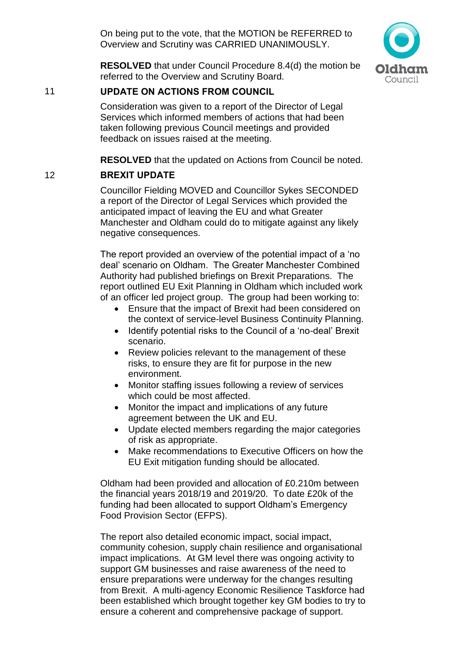On being put to the vote, that the MOTION be REFERRED to Overview and Scrutiny was CARRIED UNANIMOUSLY.



**RESOLVED** that under Council Procedure 8.4(d) the motion be referred to the Overview and Scrutiny Board.

### 11 **UPDATE ON ACTIONS FROM COUNCIL**

Consideration was given to a report of the Director of Legal Services which informed members of actions that had been taken following previous Council meetings and provided feedback on issues raised at the meeting.

**RESOLVED** that the updated on Actions from Council be noted.

## 12 **BREXIT UPDATE**

Councillor Fielding MOVED and Councillor Sykes SECONDED a report of the Director of Legal Services which provided the anticipated impact of leaving the EU and what Greater Manchester and Oldham could do to mitigate against any likely negative consequences.

The report provided an overview of the potential impact of a 'no deal' scenario on Oldham. The Greater Manchester Combined Authority had published briefings on Brexit Preparations. The report outlined EU Exit Planning in Oldham which included work of an officer led project group. The group had been working to:

- Ensure that the impact of Brexit had been considered on the context of service-level Business Continuity Planning.
- Identify potential risks to the Council of a 'no-deal' Brexit scenario.
- Review policies relevant to the management of these risks, to ensure they are fit for purpose in the new environment.
- Monitor staffing issues following a review of services which could be most affected.
- Monitor the impact and implications of any future agreement between the UK and EU.
- Update elected members regarding the major categories of risk as appropriate.
- Make recommendations to Executive Officers on how the EU Exit mitigation funding should be allocated.

Oldham had been provided and allocation of £0.210m between the financial years 2018/19 and 2019/20. To date £20k of the funding had been allocated to support Oldham's Emergency Food Provision Sector (EFPS).

The report also detailed economic impact, social impact, community cohesion, supply chain resilience and organisational impact implications. At GM level there was ongoing activity to support GM businesses and raise awareness of the need to ensure preparations were underway for the changes resulting from Brexit. A multi-agency Economic Resilience Taskforce had been established which brought together key GM bodies to try to ensure a coherent and comprehensive package of support.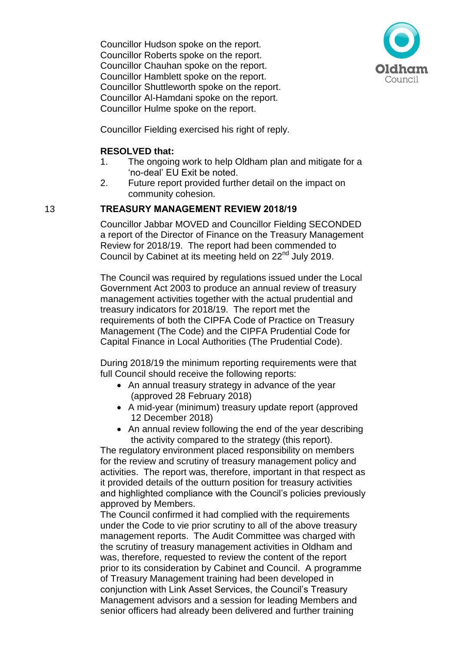Councillor Hudson spoke on the report. Councillor Roberts spoke on the report. Councillor Chauhan spoke on the report. Councillor Hamblett spoke on the report. Councillor Shuttleworth spoke on the report. Councillor Al-Hamdani spoke on the report. Councillor Hulme spoke on the report.



Councillor Fielding exercised his right of reply.

#### **RESOLVED that:**

- 1. The ongoing work to help Oldham plan and mitigate for a 'no-deal' EU Exit be noted.
- 2. Future report provided further detail on the impact on community cohesion.

### 13 **TREASURY MANAGEMENT REVIEW 2018/19**

Councillor Jabbar MOVED and Councillor Fielding SECONDED a report of the Director of Finance on the Treasury Management Review for 2018/19. The report had been commended to Council by Cabinet at its meeting held on 22<sup>nd</sup> July 2019.

The Council was required by regulations issued under the Local Government Act 2003 to produce an annual review of treasury management activities together with the actual prudential and treasury indicators for 2018/19. The report met the requirements of both the CIPFA Code of Practice on Treasury Management (The Code) and the CIPFA Prudential Code for Capital Finance in Local Authorities (The Prudential Code).

During 2018/19 the minimum reporting requirements were that full Council should receive the following reports:

- An annual treasury strategy in advance of the year (approved 28 February 2018)
- A mid-year (minimum) treasury update report (approved 12 December 2018)
- An annual review following the end of the year describing the activity compared to the strategy (this report).

The regulatory environment placed responsibility on members for the review and scrutiny of treasury management policy and activities. The report was, therefore, important in that respect as it provided details of the outturn position for treasury activities and highlighted compliance with the Council's policies previously approved by Members.

The Council confirmed it had complied with the requirements under the Code to vie prior scrutiny to all of the above treasury management reports. The Audit Committee was charged with the scrutiny of treasury management activities in Oldham and was, therefore, requested to review the content of the report prior to its consideration by Cabinet and Council. A programme of Treasury Management training had been developed in conjunction with Link Asset Services, the Council's Treasury Management advisors and a session for leading Members and senior officers had already been delivered and further training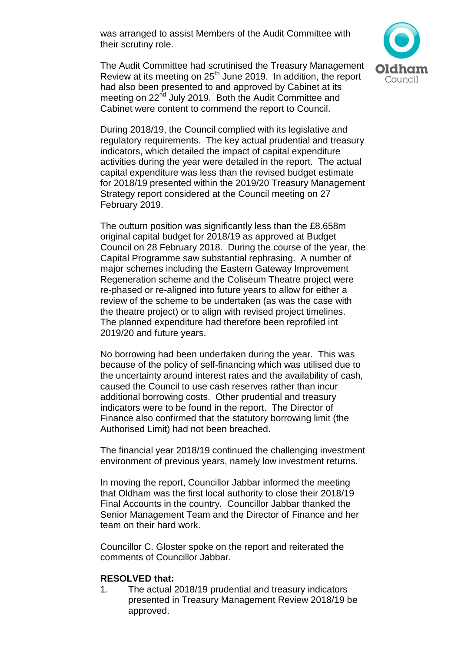was arranged to assist Members of the Audit Committee with their scrutiny role.



The Audit Committee had scrutinised the Treasury Management Review at its meeting on 25<sup>th</sup> June 2019. In addition, the report had also been presented to and approved by Cabinet at its meeting on 22<sup>nd</sup> July 2019. Both the Audit Committee and Cabinet were content to commend the report to Council.

During 2018/19, the Council complied with its legislative and regulatory requirements. The key actual prudential and treasury indicators, which detailed the impact of capital expenditure activities during the year were detailed in the report. The actual capital expenditure was less than the revised budget estimate for 2018/19 presented within the 2019/20 Treasury Management Strategy report considered at the Council meeting on 27 February 2019.

The outturn position was significantly less than the £8.658m original capital budget for 2018/19 as approved at Budget Council on 28 February 2018. During the course of the year, the Capital Programme saw substantial rephrasing. A number of major schemes including the Eastern Gateway Improvement Regeneration scheme and the Coliseum Theatre project were re-phased or re-aligned into future years to allow for either a review of the scheme to be undertaken (as was the case with the theatre project) or to align with revised project timelines. The planned expenditure had therefore been reprofiled int 2019/20 and future years.

No borrowing had been undertaken during the year. This was because of the policy of self-financing which was utilised due to the uncertainty around interest rates and the availability of cash, caused the Council to use cash reserves rather than incur additional borrowing costs. Other prudential and treasury indicators were to be found in the report. The Director of Finance also confirmed that the statutory borrowing limit (the Authorised Limit) had not been breached.

The financial year 2018/19 continued the challenging investment environment of previous years, namely low investment returns.

In moving the report, Councillor Jabbar informed the meeting that Oldham was the first local authority to close their 2018/19 Final Accounts in the country. Councillor Jabbar thanked the Senior Management Team and the Director of Finance and her team on their hard work.

Councillor C. Gloster spoke on the report and reiterated the comments of Councillor Jabbar.

#### **RESOLVED that:**

1. The actual 2018/19 prudential and treasury indicators presented in Treasury Management Review 2018/19 be approved.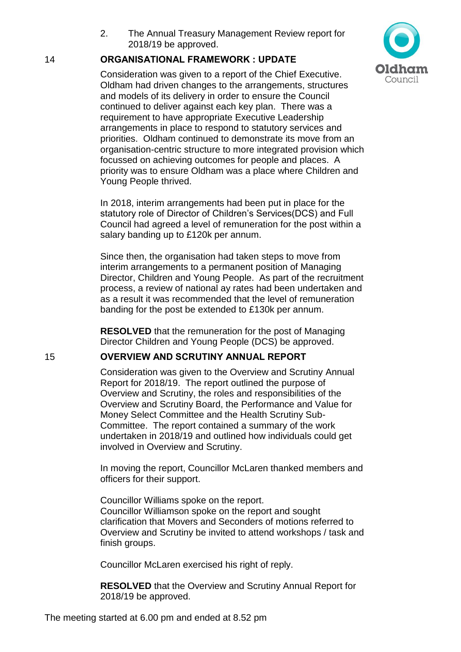2. The Annual Treasury Management Review report for 2018/19 be approved.

#### 14 **ORGANISATIONAL FRAMEWORK : UPDATE**

Consideration was given to a report of the Chief Executive. Oldham had driven changes to the arrangements, structures and models of its delivery in order to ensure the Council continued to deliver against each key plan. There was a requirement to have appropriate Executive Leadership arrangements in place to respond to statutory services and priorities. Oldham continued to demonstrate its move from an organisation-centric structure to more integrated provision which focussed on achieving outcomes for people and places. A priority was to ensure Oldham was a place where Children and Young People thrived.

In 2018, interim arrangements had been put in place for the statutory role of Director of Children's Services(DCS) and Full Council had agreed a level of remuneration for the post within a salary banding up to £120k per annum.

Since then, the organisation had taken steps to move from interim arrangements to a permanent position of Managing Director, Children and Young People. As part of the recruitment process, a review of national ay rates had been undertaken and as a result it was recommended that the level of remuneration banding for the post be extended to £130k per annum.

**RESOLVED** that the remuneration for the post of Managing Director Children and Young People (DCS) be approved.

#### 15 **OVERVIEW AND SCRUTINY ANNUAL REPORT**

Consideration was given to the Overview and Scrutiny Annual Report for 2018/19. The report outlined the purpose of Overview and Scrutiny, the roles and responsibilities of the Overview and Scrutiny Board, the Performance and Value for Money Select Committee and the Health Scrutiny Sub-Committee. The report contained a summary of the work undertaken in 2018/19 and outlined how individuals could get involved in Overview and Scrutiny.

In moving the report, Councillor McLaren thanked members and officers for their support.

Councillor Williams spoke on the report. Councillor Williamson spoke on the report and sought clarification that Movers and Seconders of motions referred to Overview and Scrutiny be invited to attend workshops / task and finish groups.

Councillor McLaren exercised his right of reply.

**RESOLVED** that the Overview and Scrutiny Annual Report for 2018/19 be approved.